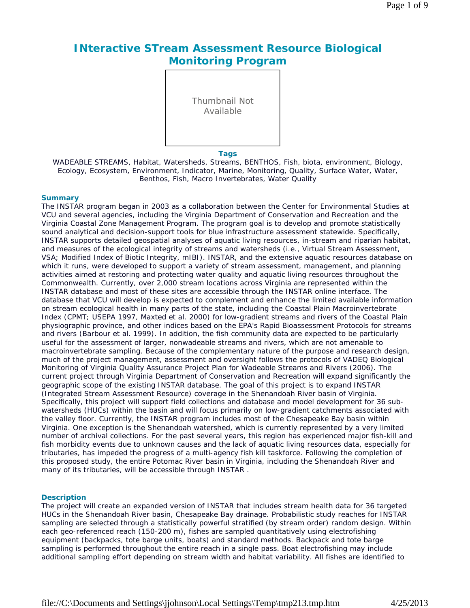# **INteractive STream Assessment Resource Biological Monitoring Program**

Thumbnail Not Available

**Tags**

WADEABLE STREAMS, Habitat, Watersheds, Streams, BENTHOS, Fish, biota, environment, Biology, Ecology, Ecosystem, Environment, Indicator, Marine, Monitoring, Quality, Surface Water, Water, Benthos, Fish, Macro Invertebrates, Water Quality

### **Summary**

The INSTAR program began in 2003 as a collaboration between the Center for Environmental Studies at VCU and several agencies, including the Virginia Department of Conservation and Recreation and the Virginia Coastal Zone Management Program. The program goal is to develop and promote statistically sound analytical and decision-support tools for blue infrastructure assessment statewide. Specifically, INSTAR supports detailed geospatial analyses of aquatic living resources, in-stream and riparian habitat, and measures of the ecological integrity of streams and watersheds (i.e., Virtual Stream Assessment, VSA; Modified Index of Biotic Integrity, mIBI). INSTAR, and the extensive aquatic resources database on which it runs, were developed to support a variety of stream assessment, management, and planning activities aimed at restoring and protecting water quality and aquatic living resources throughout the Commonwealth. Currently, over 2,000 stream locations across Virginia are represented within the INSTAR database and most of these sites are accessible through the INSTAR online interface. The database that VCU will develop is expected to complement and enhance the limited available information on stream ecological health in many parts of the state, including the Coastal Plain Macroinvertebrate Index (CPMT; USEPA 1997, Maxted et al. 2000) for low-gradient streams and rivers of the Coastal Plain physiographic province, and other indices based on the EPA's Rapid Bioassessment Protocols for streams and rivers (Barbour et al. 1999). In addition, the fish community data are expected to be particularly useful for the assessment of larger, nonwadeable streams and rivers, which are not amenable to macroinvertebrate sampling. Because of the complementary nature of the purpose and research design, much of the project management, assessment and oversight follows the protocols of VADEQ Biological Monitoring of Virginia Quality Assurance Project Plan for Wadeable Streams and Rivers (2006). The current project through Virginia Department of Conservation and Recreation will expand significantly the geographic scope of the existing INSTAR database. The goal of this project is to expand INSTAR (Integrated Stream Assessment Resource) coverage in the Shenandoah River basin of Virginia. Specifically, this project will support field collections and database and model development for 36 subwatersheds (HUCs) within the basin and will focus primarily on low-gradient catchments associated with the valley floor. Currently, the INSTAR program includes most of the Chesapeake Bay basin within Virginia. One exception is the Shenandoah watershed, which is currently represented by a very limited number of archival collections. For the past several years, this region has experienced major fish-kill and fish morbidity events due to unknown causes and the lack of aquatic living resources data, especially for tributaries, has impeded the progress of a multi-agency fish kill taskforce. Following the completion of this proposed study, the entire Potomac River basin in Virginia, including the Shenandoah River and many of its tributaries, will be accessible through INSTAR .

### **Description**

The project will create an expanded version of INSTAR that includes stream health data for 36 targeted HUCs in the Shenandoah River basin, Chesapeake Bay drainage. Probabilistic study reaches for INSTAR sampling are selected through a statistically powerful stratified (by stream order) random design. Within each geo-referenced reach (150-200 m), fishes are sampled quantitatively using electrofishing equipment (backpacks, tote barge units, boats) and standard methods. Backpack and tote barge sampling is performed throughout the entire reach in a single pass. Boat electrofishing may include additional sampling effort depending on stream width and habitat variability. All fishes are identified to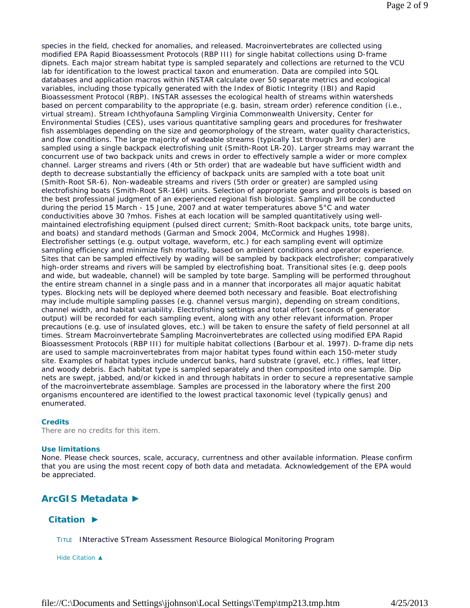species in the field, checked for anomalies, and released. Macroinvertebrates are collected using modified EPA Rapid Bioassessment Protocols (RBP III) for single habitat collections using D-frame dipnets. Each major stream habitat type is sampled separately and collections are returned to the VCU lab for identification to the lowest practical taxon and enumeration. Data are compiled into SQL databases and application macros within INSTAR calculate over 50 separate metrics and ecological variables, including those typically generated with the Index of Biotic Integrity (IBI) and Rapid Bioassessment Protocol (RBP). INSTAR assesses the ecological health of streams within watersheds based on percent comparability to the appropriate (e.g. basin, stream order) reference condition (i.e., virtual stream). Stream Ichthyofauna Sampling Virginia Commonwealth University, Center for Environmental Studies (CES), uses various quantitative sampling gears and procedures for freshwater fish assemblages depending on the size and geomorphology of the stream, water quality characteristics, and flow conditions. The large majority of wadeable streams (typically 1st through 3rd order) are sampled using a single backpack electrofishing unit (Smith-Root LR-20). Larger streams may warrant the concurrent use of two backpack units and crews in order to effectively sample a wider or more complex channel. Larger streams and rivers (4th or 5th order) that are wadeable but have sufficient width and depth to decrease substantially the efficiency of backpack units are sampled with a tote boat unit (Smith-Root SR-6). Non-wadeable streams and rivers (5th order or greater) are sampled using electrofishing boats (Smith-Root SR-16H) units. Selection of appropriate gears and protocols is based on the best professional judgment of an experienced regional fish biologist. Sampling will be conducted during the period 15 March - 15 June, 2007 and at water temperatures above 5°C and water conductivities above 30 ?mhos. Fishes at each location will be sampled quantitatively using wellmaintained electrofishing equipment (pulsed direct current; Smith-Root backpack units, tote barge units, and boats) and standard methods (Garman and Smock 2004, McCormick and Hughes 1998). Electrofisher settings (e.g. output voltage, waveform, etc.) for each sampling event will optimize sampling efficiency and minimize fish mortality, based on ambient conditions and operator experience. Sites that can be sampled effectively by wading will be sampled by backpack electrofisher; comparatively high-order streams and rivers will be sampled by electrofishing boat. Transitional sites (e.g. deep pools and wide, but wadeable, channel) will be sampled by tote barge. Sampling will be performed throughout the entire stream channel in a single pass and in a manner that incorporates all major aquatic habitat types. Blocking nets will be deployed where deemed both necessary and feasible. Boat electrofishing may include multiple sampling passes (e.g. channel versus margin), depending on stream conditions, channel width, and habitat variability. Electrofishing settings and total effort (seconds of generator output) will be recorded for each sampling event, along with any other relevant information. Proper precautions (e.g. use of insulated gloves, etc.) will be taken to ensure the safety of field personnel at all times. Stream Macroinvertebrate Sampling Macroinvertebrates are collected using modified EPA Rapid Bioassessment Protocols (RBP III) for multiple habitat collections (Barbour et al. 1997). D-frame dip nets are used to sample macroinvertebrates from major habitat types found within each 150-meter study site. Examples of habitat types include undercut banks, hard substrate (gravel, etc.) riffles, leaf litter, and woody debris. Each habitat type is sampled separately and then composited into one sample. Dip nets are swept, jabbed, and/or kicked in and through habitats in order to secure a representative sample of the macroinvertebrate assemblage. Samples are processed in the laboratory where the first 200 organisms encountered are identified to the lowest practical taxonomic level (typically genus) and enumerated.

### **Credits**

There are no credits for this item.

#### **Use limitations**

None. Please check sources, scale, accuracy, currentness and other available information. Please confirm that you are using the most recent copy of both data and metadata. Acknowledgement of the EPA would be appreciated.

# **ArcGIS Metadata ►**

## **Citation ►**

TITLE INteractive STream Assessment Resource Biological Monitoring Program

*Hide Citation ▲*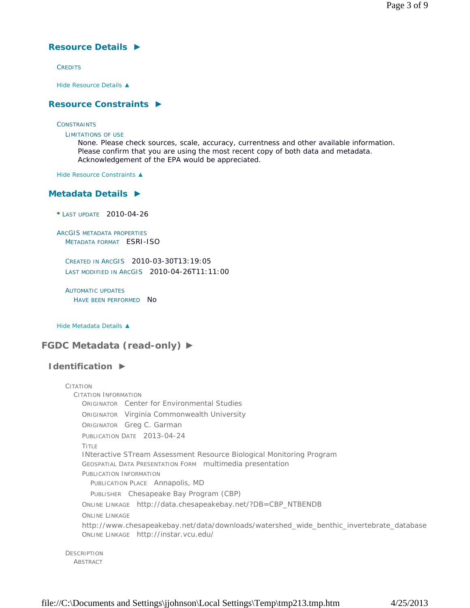# **Resource Details ►**

**CREDITS** 

*Hide Resource Details ▲*

## **Resource Constraints ►**

**CONSTRAINTS** 

LIMITATIONS OF USE

None. Please check sources, scale, accuracy, currentness and other available information. Please confirm that you are using the most recent copy of both data and metadata. Acknowledgement of the EPA would be appreciated.

*Hide Resource Constraints ▲*

## **Metadata Details ►**

**\*** LAST UPDATE 2010-04-26

ARCGIS METADATA PROPERTIES METADATA FORMAT ESRI-ISO

CREATED IN ARCGIS 2010-03-30T13:19:05 LAST MODIFIED IN ARCGIS 2010-04-26T11:11:00

AUTOMATIC UPDATES HAVE BEEN PERFORMED NO

*Hide Metadata Details ▲*

**FGDC Metadata (read-only) ►**

# **Identification ►**

CITATION CITATION INFORMATION ORIGINATOR Center for Environmental Studies ORIGINATOR Virginia Commonwealth University ORIGINATOR Greg C. Garman PUBLICATION DATE 2013-04-24 TITLE INteractive STream Assessment Resource Biological Monitoring Program GEOSPATIAL DATA PRESENTATION FORM multimedia presentation PUBLICATION INFORMATION PUBLICATION PLACE Annapolis, MD PUBLISHER Chesapeake Bay Program (CBP) ONLINE LINKAGE http://data.chesapeakebay.net/?DB=CBP\_NTBENDB ONLINE LINKAGE http://www.chesapeakebay.net/data/downloads/watershed\_wide\_benthic\_invertebrate\_database ONLINE LINKAGE http://instar.vcu.edu/ **DESCRIPTION** 

ABSTRACT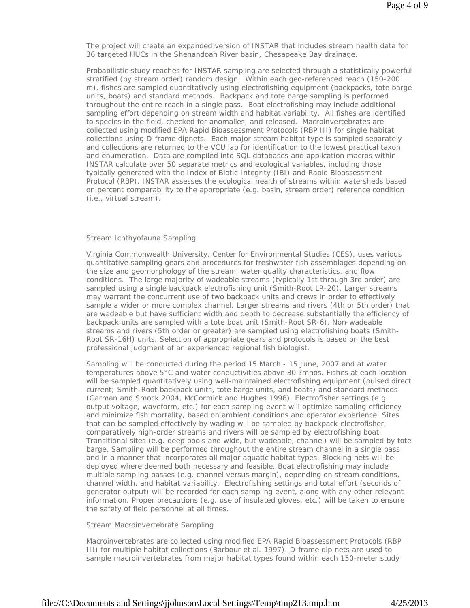The project will create an expanded version of INSTAR that includes stream health data for 36 targeted HUCs in the Shenandoah River basin, Chesapeake Bay drainage.

Probabilistic study reaches for INSTAR sampling are selected through a statistically powerful stratified (by stream order) random design. Within each geo-referenced reach (150-200 m), fishes are sampled quantitatively using electrofishing equipment (backpacks, tote barge units, boats) and standard methods. Backpack and tote barge sampling is performed throughout the entire reach in a single pass. Boat electrofishing may include additional sampling effort depending on stream width and habitat variability. All fishes are identified to species in the field, checked for anomalies, and released. Macroinvertebrates are collected using modified EPA Rapid Bioassessment Protocols (RBP III) for single habitat collections using D-frame dipnets. Each major stream habitat type is sampled separately and collections are returned to the VCU lab for identification to the lowest practical taxon and enumeration. Data are compiled into SQL databases and application macros within INSTAR calculate over 50 separate metrics and ecological variables, including those typically generated with the Index of Biotic Integrity (IBI) and Rapid Bioassessment Protocol (RBP). INSTAR assesses the ecological health of streams within watersheds based on percent comparability to the appropriate (e.g. basin, stream order) reference condition (i.e., virtual stream).

#### Stream Ichthyofauna Sampling

Virginia Commonwealth University, Center for Environmental Studies (CES), uses various quantitative sampling gears and procedures for freshwater fish assemblages depending on the size and geomorphology of the stream, water quality characteristics, and flow conditions. The large majority of wadeable streams (typically 1st through 3rd order) are sampled using a single backpack electrofishing unit (Smith-Root LR-20). Larger streams may warrant the concurrent use of two backpack units and crews in order to effectively sample a wider or more complex channel. Larger streams and rivers (4th or 5th order) that are wadeable but have sufficient width and depth to decrease substantially the efficiency of backpack units are sampled with a tote boat unit (Smith-Root SR-6). Non-wadeable streams and rivers (5th order or greater) are sampled using electrofishing boats (Smith-Root SR-16H) units. Selection of appropriate gears and protocols is based on the best professional judgment of an experienced regional fish biologist.

Sampling will be conducted during the period 15 March - 15 June, 2007 and at water temperatures above 5°C and water conductivities above 30 ?mhos. Fishes at each location will be sampled quantitatively using well-maintained electrofishing equipment (pulsed direct current; Smith-Root backpack units, tote barge units, and boats) and standard methods (Garman and Smock 2004, McCormick and Hughes 1998). Electrofisher settings (e.g. output voltage, waveform, etc.) for each sampling event will optimize sampling efficiency and minimize fish mortality, based on ambient conditions and operator experience. Sites that can be sampled effectively by wading will be sampled by backpack electrofisher; comparatively high-order streams and rivers will be sampled by electrofishing boat. Transitional sites (e.g. deep pools and wide, but wadeable, channel) will be sampled by tote barge. Sampling will be performed throughout the entire stream channel in a single pass and in a manner that incorporates all major aquatic habitat types. Blocking nets will be deployed where deemed both necessary and feasible. Boat electrofishing may include multiple sampling passes (e.g. channel versus margin), depending on stream conditions, channel width, and habitat variability. Electrofishing settings and total effort (seconds of generator output) will be recorded for each sampling event, along with any other relevant information. Proper precautions (e.g. use of insulated gloves, etc.) will be taken to ensure the safety of field personnel at all times.

#### Stream Macroinvertebrate Sampling

Macroinvertebrates are collected using modified EPA Rapid Bioassessment Protocols (RBP III) for multiple habitat collections (Barbour et al. 1997). D-frame dip nets are used to sample macroinvertebrates from major habitat types found within each 150-meter study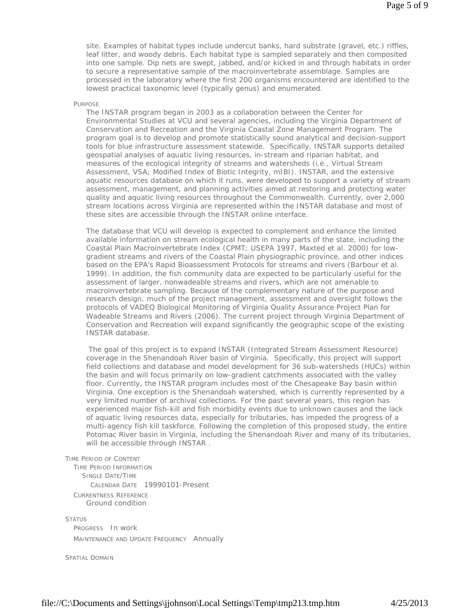site. Examples of habitat types include undercut banks, hard substrate (gravel, etc.) riffles, leaf litter, and woody debris. Each habitat type is sampled separately and then composited into one sample. Dip nets are swept, jabbed, and/or kicked in and through habitats in order to secure a representative sample of the macroinvertebrate assemblage. Samples are processed in the laboratory where the first 200 organisms encountered are identified to the lowest practical taxonomic level (typically genus) and enumerated.

#### PURPOSE

The INSTAR program began in 2003 as a collaboration between the Center for Environmental Studies at VCU and several agencies, including the Virginia Department of Conservation and Recreation and the Virginia Coastal Zone Management Program. The program goal is to develop and promote statistically sound analytical and decision-support tools for blue infrastructure assessment statewide. Specifically, INSTAR supports detailed geospatial analyses of aquatic living resources, in-stream and riparian habitat, and measures of the ecological integrity of streams and watersheds (i.e., Virtual Stream Assessment, VSA; Modified Index of Biotic Integrity, mIBI). INSTAR, and the extensive aquatic resources database on which it runs, were developed to support a variety of stream assessment, management, and planning activities aimed at restoring and protecting water quality and aquatic living resources throughout the Commonwealth. Currently, over 2,000 stream locations across Virginia are represented within the INSTAR database and most of these sites are accessible through the INSTAR online interface.

The database that VCU will develop is expected to complement and enhance the limited available information on stream ecological health in many parts of the state, including the Coastal Plain Macroinvertebrate Index (CPMT; USEPA 1997, Maxted et al. 2000) for lowgradient streams and rivers of the Coastal Plain physiographic province, and other indices based on the EPA's Rapid Bioassessment Protocols for streams and rivers (Barbour et al. 1999). In addition, the fish community data are expected to be particularly useful for the assessment of larger, nonwadeable streams and rivers, which are not amenable to macroinvertebrate sampling. Because of the complementary nature of the purpose and research design, much of the project management, assessment and oversight follows the protocols of VADEQ Biological Monitoring of Virginia Quality Assurance Project Plan for Wadeable Streams and Rivers (2006). The current project through Virginia Department of Conservation and Recreation will expand significantly the geographic scope of the existing INSTAR database.

 The goal of this project is to expand INSTAR (Integrated Stream Assessment Resource) coverage in the Shenandoah River basin of Virginia. Specifically, this project will support field collections and database and model development for 36 sub-watersheds (HUCs) within the basin and will focus primarily on low-gradient catchments associated with the valley floor. Currently, the INSTAR program includes most of the Chesapeake Bay basin within Virginia. One exception is the Shenandoah watershed, which is currently represented by a very limited number of archival collections. For the past several years, this region has experienced major fish-kill and fish morbidity events due to unknown causes and the lack of aquatic living resources data, especially for tributaries, has impeded the progress of a multi-agency fish kill taskforce. Following the completion of this proposed study, the entire Potomac River basin in Virginia, including the Shenandoah River and many of its tributaries, will be accessible through INSTAR .

TIME PERIOD OF CONTENT

TIME PERIOD INFORMATION SINGLE DATE/TIME CALENDAR DATE 19990101-Present CURRENTNESS REFERENCE Ground condition

**STATUS** 

PROGRESS In work MAINTENANCE AND UPDATE FREQUENCY Annually

SPATIAL DOMAIN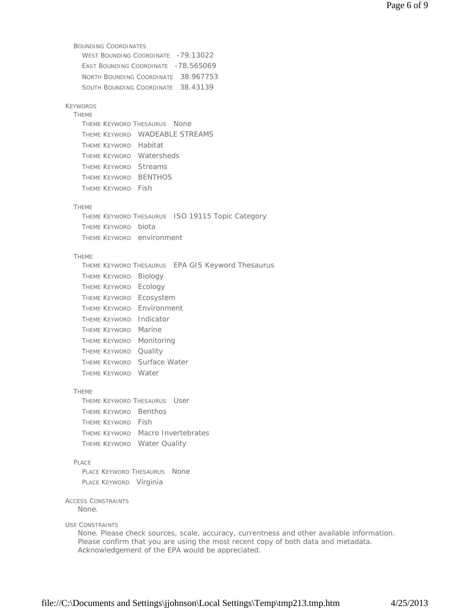```
BOUNDING COORDINATES 
    WEST BOUNDING COORDINATE -79.13022
    EAST BOUNDING COORDINATE -78.565069
    NORTH BOUNDING COORDINATE 38.967753 
    SOUTH BOUNDING COORDINATE 38.43139
KEYWORDS 
  THEME 
    THEME KEYWORD THESAURUS None 
    THEME KEYWORD WADEABLE STREAMS 
    THEME KEYWORD Habitat 
    THEME KEYWORD Watersheds 
    THEME KEYWORD Streams 
    THEME KEYWORD BENTHOS 
    THEME KEYWORD Fish
  THEME 
    THEME KEYWORD THESAURUS ISO 19115 Topic Category 
    THEME KEYWORD biota 
    THEME KEYWORD environment
  THEME 
    THEME KEYWORD THESAURUS EPA GIS Keyword Thesaurus 
    THEME KEYWORD Biology 
    THEME KEYWORD Ecology 
    THEME KEYWORD Ecosystem 
    THEME KEYWORD Environment 
    THEME KEYWORD Indicator 
    THEME KEYWORD Marine 
    THEME KEYWORD Monitoring 
    THEME KEYWORD Quality 
    THEME KEYWORD Surface Water 
    THEME KEYWORD Water
  THEME 
    THEME KEYWORD THESAURUS User 
    THEME KEYWORD Benthos 
    THEME KEYWORD Fish 
    THEME KEYWORD Macro Invertebrates 
    THEME KEYWORD Water Quality
  PLACE 
    PLACE KEYWORD THESAURUS None
    PLACE KEYWORD Virginia
ACCESS CONSTRAINTS
USE CONSTRAINTS
   None.
   None. Please check sources, scale, accuracy, currentness and other available information. 
   Please confirm that you are using the most recent copy of both data and metadata. 
   Acknowledgement of the EPA would be appreciated.
```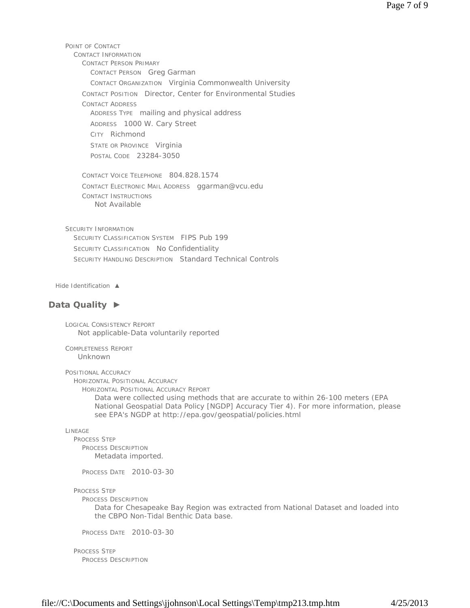POINT OF CONTACT CONTACT INFORMATION CONTACT PERSON PRIMARY CONTACT PERSON Greg Garman CONTACT ORGANIZATION Virginia Commonwealth University CONTACT POSITION Director, Center for Environmental Studies CONTACT ADDRESS ADDRESS TYPE mailing and physical address ADDRESS 1000 W. Cary Street CITY Richmond STATE OR PROVINCE Virginia POSTAL CODE 23284-3050

CONTACT VOICE TELEPHONE 804.828.1574 CONTACT ELECTRONIC MAIL ADDRESS ggarman@vcu.edu CONTACT INSTRUCTIONS Not Available

SECURITY INFORMATION SECURITY CLASSIFICATION SYSTEM FIPS Pub 199 SECURITY CLASSIFICATION No Confidentiality SECURITY HANDLING DESCRIPTION Standard Technical Controls

*Hide Identification ▲*

### **Data Quality ►**

LOGICAL CONSISTENCY REPORT Not applicable-Data voluntarily reported

COMPLETENESS REPORT Unknown

POSITIONAL ACCURACY

HORIZONTAL POSITIONAL ACCURACY

HORIZONTAL POSITIONAL ACCURACY REPORT

Data were collected using methods that are accurate to within 26-100 meters (EPA National Geospatial Data Policy [NGDP] Accuracy Tier 4). For more information, please see EPA's NGDP at http://epa.gov/geospatial/policies.html

#### LINEAGE

PROCESS STEP PROCESS DESCRIPTION Metadata imported.

PROCESS DATE 2010-03-30

PROCESS STEP

PROCESS DESCRIPTION

Data for Chesapeake Bay Region was extracted from National Dataset and loaded into the CBPO Non-Tidal Benthic Data base.

PROCESS DATE 2010-03-30

PROCESS STEP PROCESS DESCRIPTION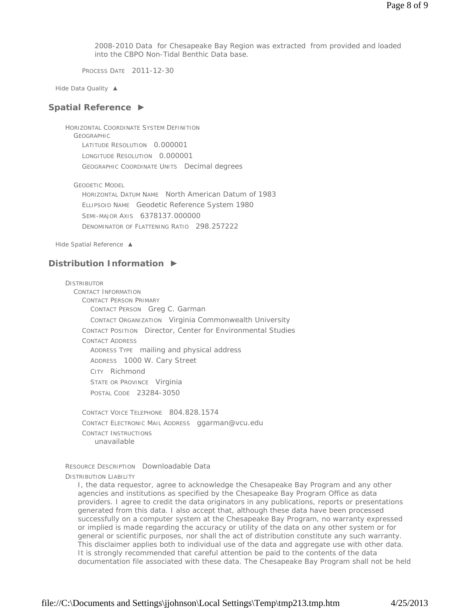2008-2010 Data for Chesapeake Bay Region was extracted from provided and loaded into the CBPO Non-Tidal Benthic Data base.

PROCESS DATE 2011-12-30

*Hide Data Quality ▲*

### **Spatial Reference ►**

HORIZONTAL COORDINATE SYSTEM DEFINITION **GEOGRAPHIC** LATITUDE RESOLUTION 0.000001 LONGITUDE RESOLUTION 0.000001 GEOGRAPHIC COORDINATE UNITS Decimal degrees

GEODETIC MODEL

HORIZONTAL DATUM NAME North American Datum of 1983 ELLIPSOID NAME Geodetic Reference System 1980 SEMI-MAJOR AXIS 6378137.000000 DENOMINATOR OF FLATTENING RATIO 298.257222

*Hide Spatial Reference ▲*

# **Distribution Information ►**

DISTRIBUTOR CONTACT INFORMATION CONTACT PERSON PRIMARY CONTACT PERSON Greg C. Garman CONTACT ORGANIZATION Virginia Commonwealth University CONTACT POSITION Director, Center for Environmental Studies CONTACT ADDRESS ADDRESS TYPE mailing and physical address ADDRESS 1000 W. Cary Street CITY Richmond STATE OR PROVINCE Virginia POSTAL CODE 23284-3050 CONTACT VOICE TELEPHONE 804.828.1574

CONTACT ELECTRONIC MAIL ADDRESS ggarman@vcu.edu CONTACT INSTRUCTIONS unavailable

RESOURCE DESCRIPTION Downloadable Data DISTRIBUTION LIABILITY

I, the data requestor, agree to acknowledge the Chesapeake Bay Program and any other agencies and institutions as specified by the Chesapeake Bay Program Office as data providers. I agree to credit the data originators in any publications, reports or presentations generated from this data. I also accept that, although these data have been processed successfully on a computer system at the Chesapeake Bay Program, no warranty expressed or implied is made regarding the accuracy or utility of the data on any other system or for general or scientific purposes, nor shall the act of distribution constitute any such warranty. This disclaimer applies both to individual use of the data and aggregate use with other data. It is strongly recommended that careful attention be paid to the contents of the data documentation file associated with these data. The Chesapeake Bay Program shall not be held